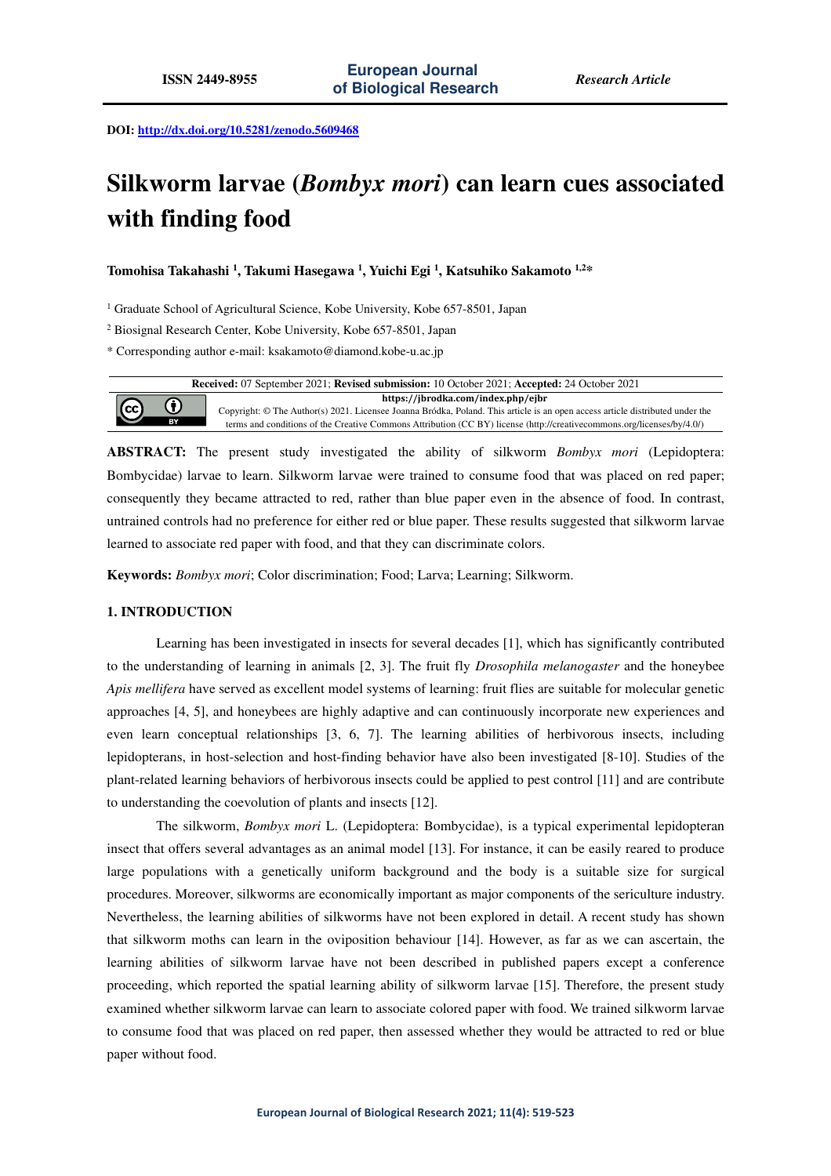**DOI: http://dx.doi.org/10.5281/zenodo.5609468** 

# **Silkworm larvae (***Bombyx mori***) can learn cues associated with finding food**

**Tomohisa Takahashi <sup>1</sup> , Takumi Hasegawa <sup>1</sup> , Yuichi Egi <sup>1</sup> , Katsuhiko Sakamoto 1,2\*** 

<sup>1</sup> Graduate School of Agricultural Science, Kobe University, Kobe 657-8501, Japan

2 Biosignal Research Center, Kobe University, Kobe 657-8501, Japan

\* Corresponding author e-mail: ksakamoto@diamond.kobe-u.ac.jp

| <b>Received:</b> 07 September 2021; <b>Revised submission:</b> 10 October 2021; <b>Accepted:</b> 24 October 2021 |              |                                                                                                                                                                     |
|------------------------------------------------------------------------------------------------------------------|--------------|---------------------------------------------------------------------------------------------------------------------------------------------------------------------|
|                                                                                                                  | $\bf \Theta$ | https://jbrodka.com/index.php/ejbr<br>Copyright: © The Author(s) 2021. Licensee Joanna Bródka, Poland. This article is an open access article distributed under the |
| $\odot$                                                                                                          | BY           | terms and conditions of the Creative Commons Attribution (CC BY) license (http://creativecommons.org/licenses/by/4.0/)                                              |

**ABSTRACT:** The present study investigated the ability of silkworm *Bombyx mori* (Lepidoptera: Bombycidae) larvae to learn. Silkworm larvae were trained to consume food that was placed on red paper; consequently they became attracted to red, rather than blue paper even in the absence of food. In contrast, untrained controls had no preference for either red or blue paper. These results suggested that silkworm larvae learned to associate red paper with food, and that they can discriminate colors.

**Keywords:** *Bombyx mori*; Color discrimination; Food; Larva; Learning; Silkworm.

## **1. INTRODUCTION**

Learning has been investigated in insects for several decades [1], which has significantly contributed to the understanding of learning in animals [2, 3]. The fruit fly *Drosophila melanogaster* and the honeybee *Apis mellifera* have served as excellent model systems of learning: fruit flies are suitable for molecular genetic approaches [4, 5], and honeybees are highly adaptive and can continuously incorporate new experiences and even learn conceptual relationships [3, 6, 7]. The learning abilities of herbivorous insects, including lepidopterans, in host-selection and host-finding behavior have also been investigated [8-10]. Studies of the plant-related learning behaviors of herbivorous insects could be applied to pest control [11] and are contribute to understanding the coevolution of plants and insects [12].

The silkworm, *Bombyx mori* L. (Lepidoptera: Bombycidae), is a typical experimental lepidopteran insect that offers several advantages as an animal model [13]. For instance, it can be easily reared to produce large populations with a genetically uniform background and the body is a suitable size for surgical procedures. Moreover, silkworms are economically important as major components of the sericulture industry. Nevertheless, the learning abilities of silkworms have not been explored in detail. A recent study has shown that silkworm moths can learn in the oviposition behaviour [14]. However, as far as we can ascertain, the learning abilities of silkworm larvae have not been described in published papers except a conference proceeding, which reported the spatial learning ability of silkworm larvae [15]. Therefore, the present study examined whether silkworm larvae can learn to associate colored paper with food. We trained silkworm larvae to consume food that was placed on red paper, then assessed whether they would be attracted to red or blue paper without food.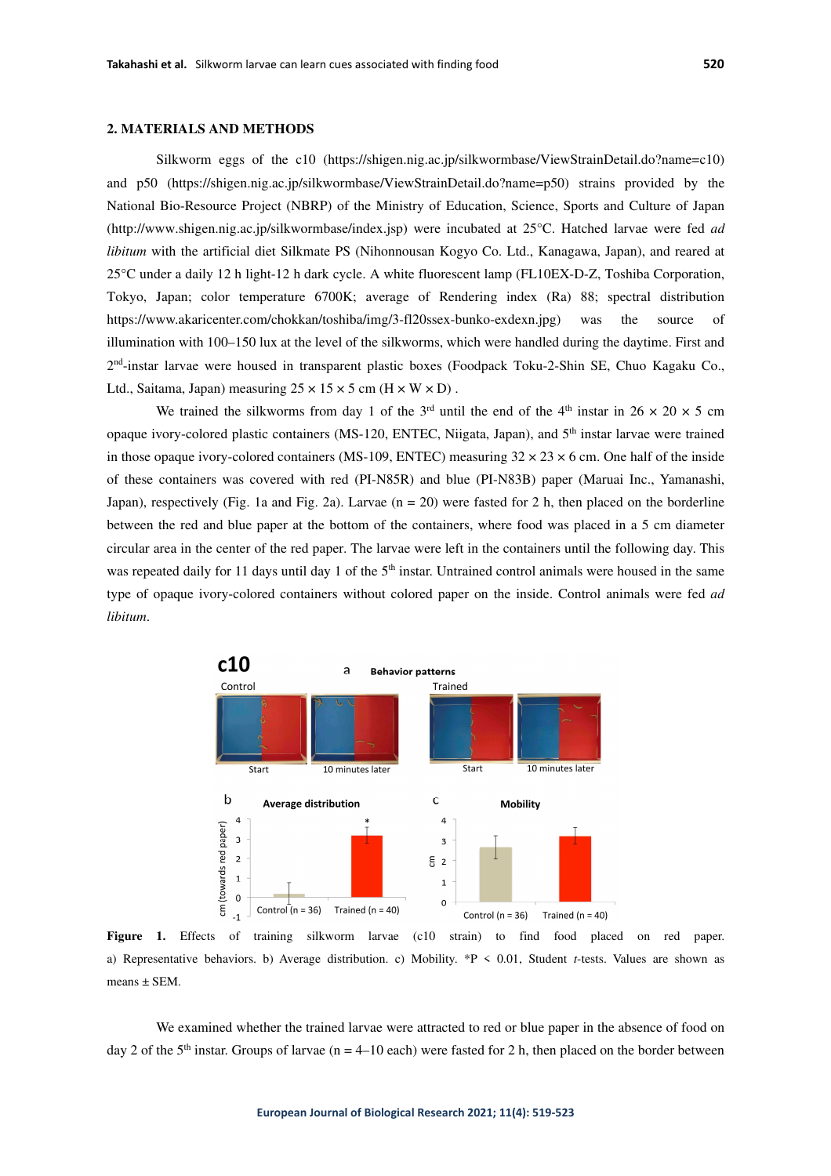Silkworm eggs of the c10 (https://shigen.nig.ac.jp/silkwormbase/ViewStrainDetail.do?name=c10) and p50 (https://shigen.nig.ac.jp/silkwormbase/ViewStrainDetail.do?name=p50) strains provided by the National Bio-Resource Project (NBRP) of the Ministry of Education, Science, Sports and Culture of Japan (http://www.shigen.nig.ac.jp/silkwormbase/index.jsp) were incubated at 25°C. Hatched larvae were fed *ad libitum* with the artificial diet Silkmate PS (Nihonnousan Kogyo Co. Ltd., Kanagawa, Japan), and reared at 25°C under a daily 12 h light-12 h dark cycle. A white fluorescent lamp (FL10EX-D-Z, Toshiba Corporation, Tokyo, Japan; color temperature 6700K; average of Rendering index (Ra) 88; spectral distribution https://www.akaricenter.com/chokkan/toshiba/img/3-fl20ssex-bunko-exdexn.jpg) was the source of illumination with 100–150 lux at the level of the silkworms, which were handled during the daytime. First and 2<sup>nd</sup>-instar larvae were housed in transparent plastic boxes (Foodpack Toku-2-Shin SE, Chuo Kagaku Co., Ltd., Saitama, Japan) measuring  $25 \times 15 \times 5$  cm (H  $\times$  W  $\times$  D).

We trained the silkworms from day 1 of the 3<sup>rd</sup> until the end of the 4<sup>th</sup> instar in 26  $\times$  20  $\times$  5 cm opaque ivory-colored plastic containers (MS-120, ENTEC, Niigata, Japan), and 5th instar larvae were trained in those opaque ivory-colored containers (MS-109, ENTEC) measuring  $32 \times 23 \times 6$  cm. One half of the inside of these containers was covered with red (PI-N85R) and blue (PI-N83B) paper (Maruai Inc., Yamanashi, Japan), respectively (Fig. 1a and Fig. 2a). Larvae  $(n = 20)$  were fasted for 2 h, then placed on the borderline between the red and blue paper at the bottom of the containers, where food was placed in a 5 cm diameter circular area in the center of the red paper. The larvae were left in the containers until the following day. This was repeated daily for 11 days until day 1 of the 5<sup>th</sup> instar. Untrained control animals were housed in the same type of opaque ivory-colored containers without colored paper on the inside. Control animals were fed *ad libitum*.



Figure 1. Effects of training silkworm larvae (c10 strain) to find food placed on red paper. a) Representative behaviors. b) Average distribution. c) Mobility. \*P < 0.01, Student *t*-tests. Values are shown as means ± SEM.

We examined whether the trained larvae were attracted to red or blue paper in the absence of food on day 2 of the 5<sup>th</sup> instar. Groups of larvae (n = 4–10 each) were fasted for 2 h, then placed on the border between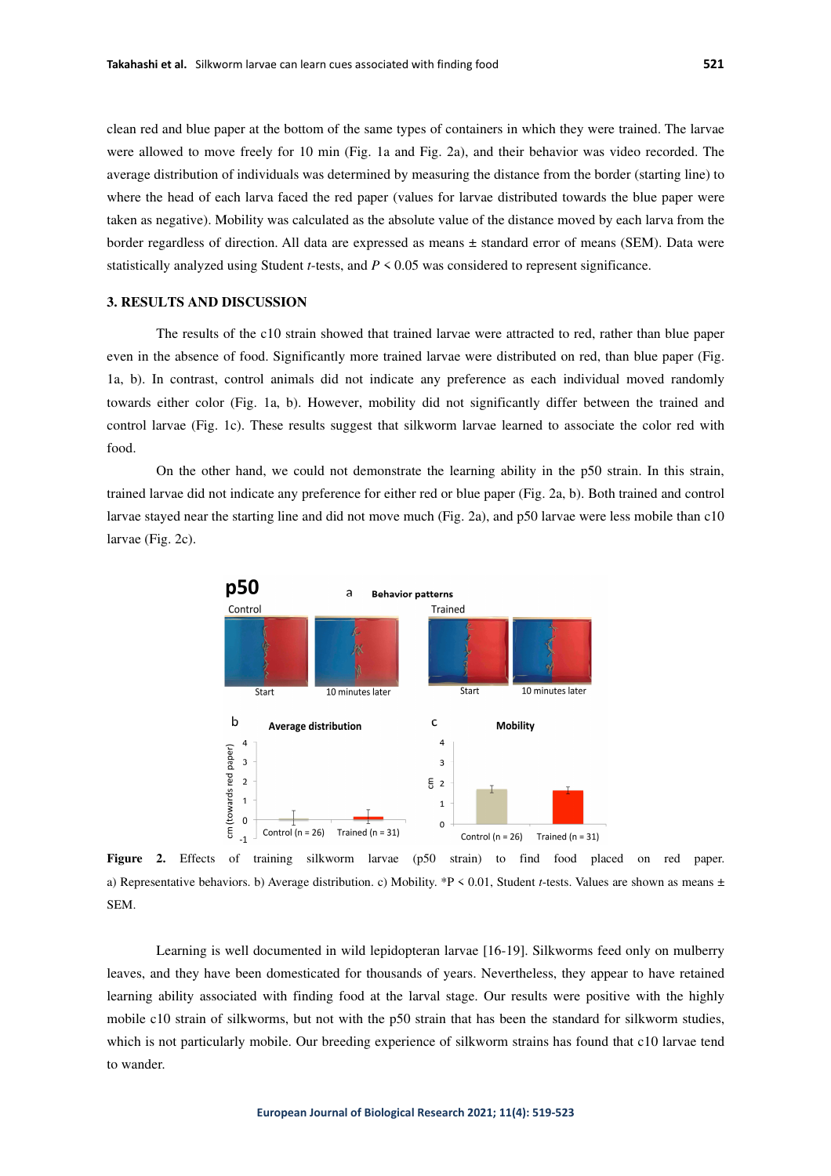clean red and blue paper at the bottom of the same types of containers in which they were trained. The larvae were allowed to move freely for 10 min (Fig. 1a and Fig. 2a), and their behavior was video recorded. The average distribution of individuals was determined by measuring the distance from the border (starting line) to where the head of each larva faced the red paper (values for larvae distributed towards the blue paper were taken as negative). Mobility was calculated as the absolute value of the distance moved by each larva from the border regardless of direction. All data are expressed as means ± standard error of means (SEM). Data were statistically analyzed using Student *t*-tests, and *P* < 0.05 was considered to represent significance.

## **3. RESULTS AND DISCUSSION**

The results of the c10 strain showed that trained larvae were attracted to red, rather than blue paper even in the absence of food. Significantly more trained larvae were distributed on red, than blue paper (Fig. 1a, b). In contrast, control animals did not indicate any preference as each individual moved randomly towards either color (Fig. 1a, b). However, mobility did not significantly differ between the trained and control larvae (Fig. 1c). These results suggest that silkworm larvae learned to associate the color red with food.

On the other hand, we could not demonstrate the learning ability in the p50 strain. In this strain, trained larvae did not indicate any preference for either red or blue paper (Fig. 2a, b). Both trained and control larvae stayed near the starting line and did not move much (Fig. 2a), and p50 larvae were less mobile than c10 larvae (Fig. 2c).



**Figure 2.** Effects of training silkworm larvae (p50 strain) to find food placed on red paper. a) Representative behaviors. b) Average distribution. c) Mobility. \*P < 0.01, Student *t*-tests. Values are shown as means ± SEM.

Learning is well documented in wild lepidopteran larvae [16-19]. Silkworms feed only on mulberry leaves, and they have been domesticated for thousands of years. Nevertheless, they appear to have retained learning ability associated with finding food at the larval stage. Our results were positive with the highly mobile c10 strain of silkworms, but not with the p50 strain that has been the standard for silkworm studies, which is not particularly mobile. Our breeding experience of silkworm strains has found that c10 larvae tend to wander.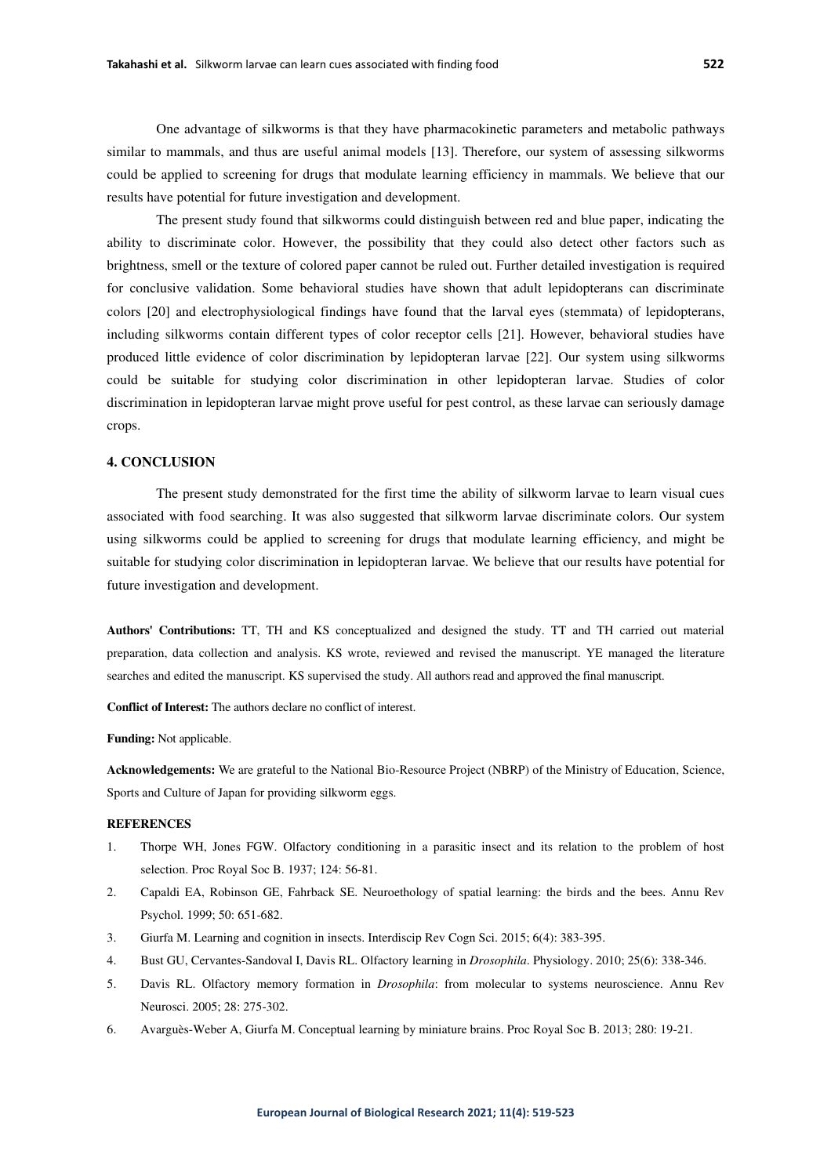One advantage of silkworms is that they have pharmacokinetic parameters and metabolic pathways similar to mammals, and thus are useful animal models [13]. Therefore, our system of assessing silkworms could be applied to screening for drugs that modulate learning efficiency in mammals. We believe that our results have potential for future investigation and development.

The present study found that silkworms could distinguish between red and blue paper, indicating the ability to discriminate color. However, the possibility that they could also detect other factors such as brightness, smell or the texture of colored paper cannot be ruled out. Further detailed investigation is required for conclusive validation. Some behavioral studies have shown that adult lepidopterans can discriminate colors [20] and electrophysiological findings have found that the larval eyes (stemmata) of lepidopterans, including silkworms contain different types of color receptor cells [21]. However, behavioral studies have produced little evidence of color discrimination by lepidopteran larvae [22]. Our system using silkworms could be suitable for studying color discrimination in other lepidopteran larvae. Studies of color discrimination in lepidopteran larvae might prove useful for pest control, as these larvae can seriously damage crops.

### **4. CONCLUSION**

The present study demonstrated for the first time the ability of silkworm larvae to learn visual cues associated with food searching. It was also suggested that silkworm larvae discriminate colors. Our system using silkworms could be applied to screening for drugs that modulate learning efficiency, and might be suitable for studying color discrimination in lepidopteran larvae. We believe that our results have potential for future investigation and development.

**Authors' Contributions:** TT, TH and KS conceptualized and designed the study. TT and TH carried out material preparation, data collection and analysis. KS wrote, reviewed and revised the manuscript. YE managed the literature searches and edited the manuscript. KS supervised the study. All authors read and approved the final manuscript.

**Conflict of Interest:** The authors declare no conflict of interest.

**Funding:** Not applicable.

**Acknowledgements:** We are grateful to the National Bio-Resource Project (NBRP) of the Ministry of Education, Science, Sports and Culture of Japan for providing silkworm eggs.

### **REFERENCES**

- 1. Thorpe WH, Jones FGW. Olfactory conditioning in a parasitic insect and its relation to the problem of host selection. Proc Royal Soc B. 1937; 124: 56-81.
- 2. Capaldi EA, Robinson GE, Fahrback SE. Neuroethology of spatial learning: the birds and the bees. Annu Rev Psychol. 1999; 50: 651-682.
- 3. Giurfa M. Learning and cognition in insects. Interdiscip Rev Cogn Sci. 2015; 6(4): 383-395.
- 4. Bust GU, Cervantes-Sandoval I, Davis RL. Olfactory learning in *Drosophila*. Physiology. 2010; 25(6): 338-346.
- 5. Davis RL. Olfactory memory formation in *Drosophila*: from molecular to systems neuroscience. Annu Rev Neurosci. 2005; 28: 275-302.
- 6. Avarguès-Weber A, Giurfa M. Conceptual learning by miniature brains. Proc Royal Soc B. 2013; 280: 19-21.